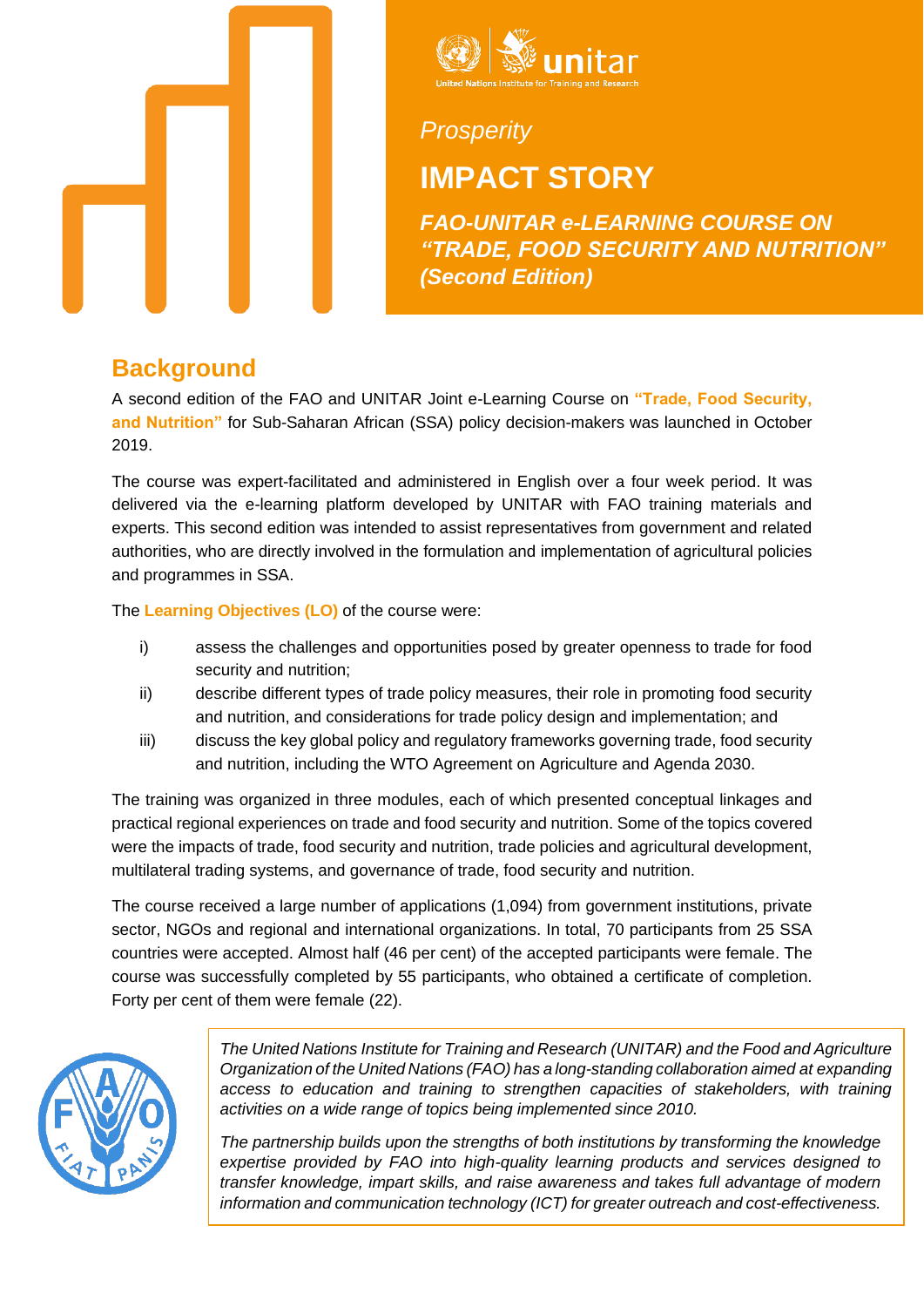



*Prosperity*

# **IMPACT STORY**

*FAO-UNITAR e-LEARNING COURSE ON "TRADE, FOOD SECURITY AND NUTRITION" (Second Edition)*

#### **Background**

A second edition of the FAO and UNITAR Joint e-Learning Course on **"Trade, Food Security, and Nutrition"** for Sub-Saharan African (SSA) policy decision-makers was launched in October 2019.

The course was expert-facilitated and administered in English over a four week period. It was delivered via the e-learning platform developed by UNITAR with FAO training materials and experts. This second edition was intended to assist representatives from government and related authorities, who are directly involved in the formulation and implementation of agricultural policies and programmes in SSA.

The **Learning Objectives (LO)** of the course were:

- i) assess the challenges and opportunities posed by greater openness to trade for food security and nutrition;
- ii) describe different types of trade policy measures, their role in promoting food security and nutrition, and considerations for trade policy design and implementation; and
- iii) discuss the key global policy and regulatory frameworks governing trade, food security and nutrition, including the WTO Agreement on Agriculture and Agenda 2030.

The training was organized in three modules, each of which presented conceptual linkages and practical regional experiences on trade and food security and nutrition. Some of the topics covered were the impacts of trade, food security and nutrition, trade policies and agricultural development, multilateral trading systems, and governance of trade, food security and nutrition.

The course received a large number of applications (1,094) from government institutions, private sector, NGOs and regional and international organizations. In total, 70 participants from 25 SSA countries were accepted. Almost half (46 per cent) of the accepted participants were female. The course was successfully completed by 55 participants, who obtained a certificate of completion. Forty per cent of them were female (22).



*The United Nations Institute for Training and Research (UNITAR) and the Food and Agriculture Organization of the United Nations (FAO) has a long-standing collaboration aimed at expanding access to education and training to strengthen capacities of stakeholders, with training activities on a wide range of topics being implemented since 2010.*

*The partnership builds upon the strengths of both institutions by transforming the knowledge expertise provided by FAO into high-quality learning products and services designed to transfer knowledge, impart skills, and raise awareness and takes full advantage of modern information and communication technology (ICT) for greater outreach and cost-effectiveness.*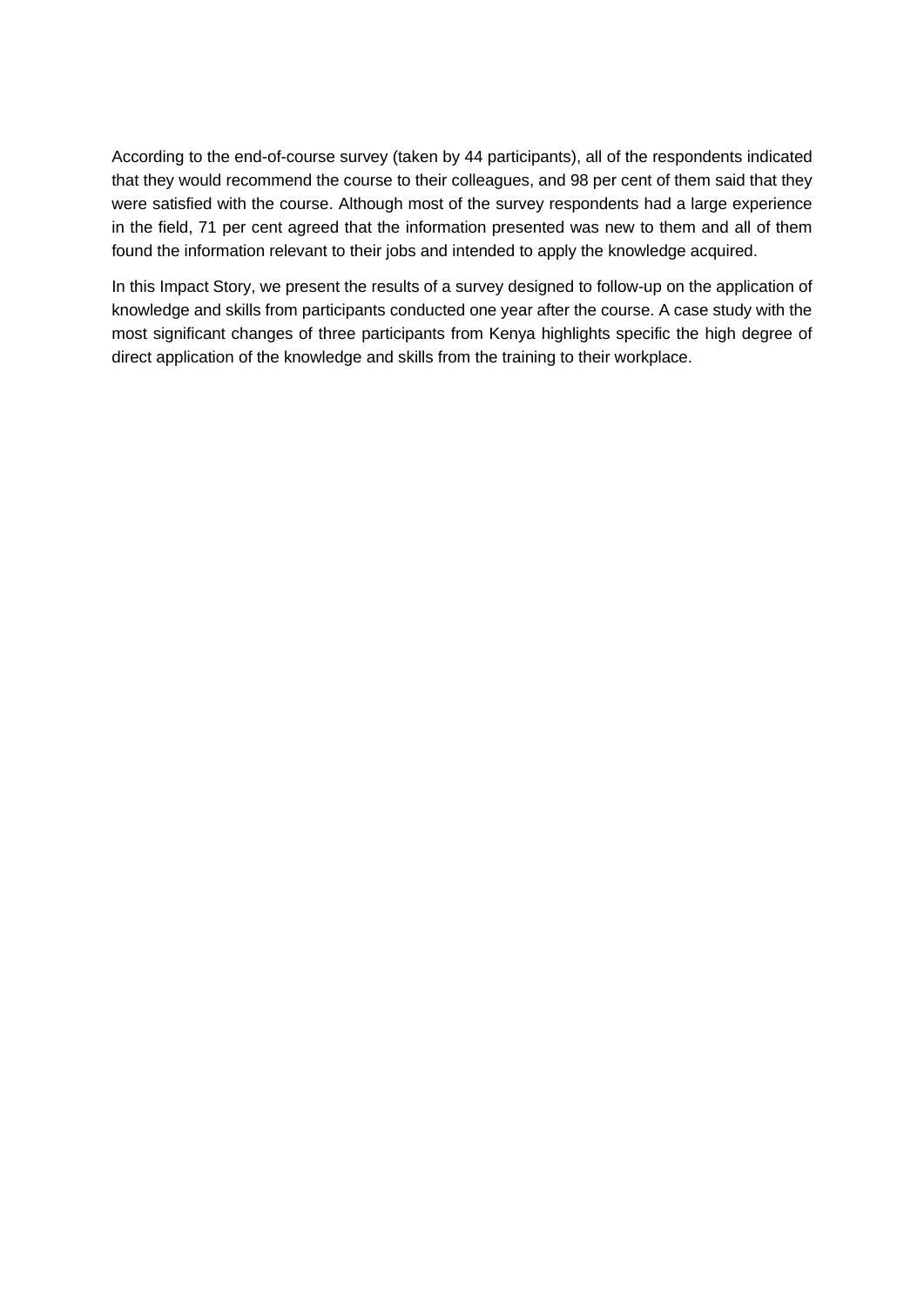According to the end-of-course survey (taken by 44 participants), all of the respondents indicated that they would recommend the course to their colleagues, and 98 per cent of them said that they were satisfied with the course. Although most of the survey respondents had a large experience in the field, 71 per cent agreed that the information presented was new to them and all of them found the information relevant to their jobs and intended to apply the knowledge acquired.

In this Impact Story, we present the results of a survey designed to follow-up on the application of knowledge and skills from participants conducted one year after the course. A case study with the most significant changes of three participants from Kenya highlights specific the high degree of direct application of the knowledge and skills from the training to their workplace.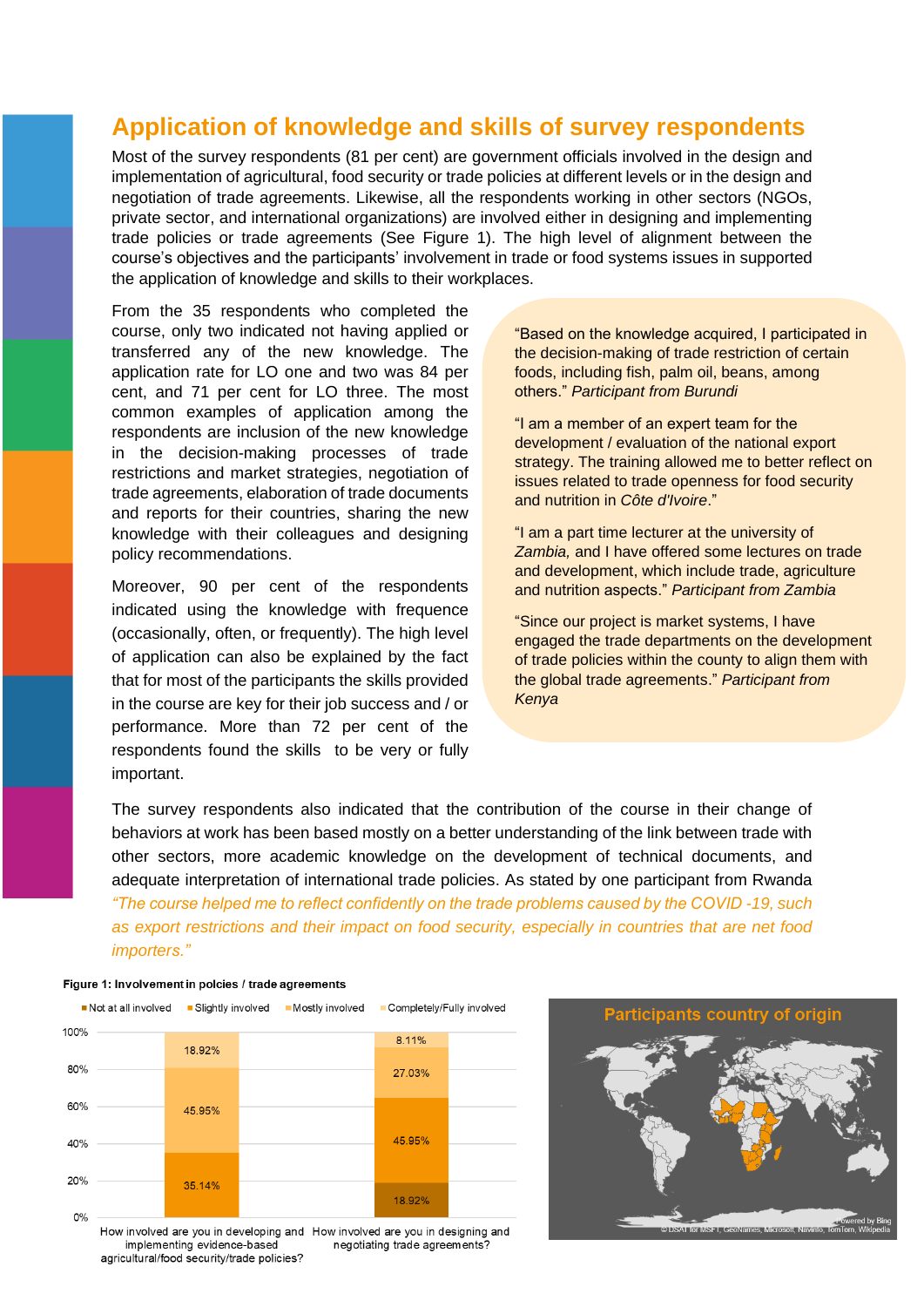#### **Application of knowledge and skills of survey respondents**

Most of the survey respondents (81 per cent) are government officials involved in the design and implementation of agricultural, food security or trade policies at different levels or in the design and negotiation of trade agreements. Likewise, all the respondents working in other sectors (NGOs, private sector, and international organizations) are involved either in designing and implementing trade policies or trade agreements (See Figure 1). The high level of alignment between the course's objectives and the participants' involvement in trade or food systems issues in supported the application of knowledge and skills to their workplaces.

From the 35 respondents who completed the course, only two indicated not having applied or transferred any of the new knowledge. The application rate for LO one and two was 84 per cent, and 71 per cent for LO three. The most common examples of application among the respondents are inclusion of the new knowledge in the decision-making processes of trade restrictions and market strategies, negotiation of trade agreements, elaboration of trade documents and reports for their countries, sharing the new knowledge with their colleagues and designing policy recommendations.

Moreover, 90 per cent of the respondents indicated using the knowledge with frequence (occasionally, often, or frequently). The high level of application can also be explained by the fact that for most of the participants the skills provided in the course are key for their job success and / or performance. More than 72 per cent of the respondents found the skills to be very or fully important.

"Based on the knowledge acquired, I participated in the decision-making of trade restriction of certain foods, including fish, palm oil, beans, among others." *Participant from Burundi*

"I am a member of an expert team for the development / evaluation of the national export strategy. The training allowed me to better reflect on issues related to trade openness for food security and nutrition in *Côte d'Ivoire*."

"I am a part time lecturer at the university of *Zambia,* and I have offered some lectures on trade and development, which include trade, agriculture and nutrition aspects." *Participant from Zambia*

"Since our project is market systems, I have engaged the trade departments on the development of trade policies within the county to align them with the global trade agreements." *Participant from Kenya*

The survey respondents also indicated that the contribution of the course in their change of behaviors at work has been based mostly on a better understanding of the link between trade with other sectors, more academic knowledge on the development of technical documents, and adequate interpretation of international trade policies. As stated by one participant from Rwanda *"The course helped me to reflect confidently on the trade problems caused by the COVID -19, such as export restrictions and their impact on food security, especially in countries that are net food importers."*

#### Figure 1: Involvement in polcies / trade agreements



How involved are you in developing and How involved are you in designing and implementing evidence-based negotiating trade agreements? agricultural/food security/trade policies?

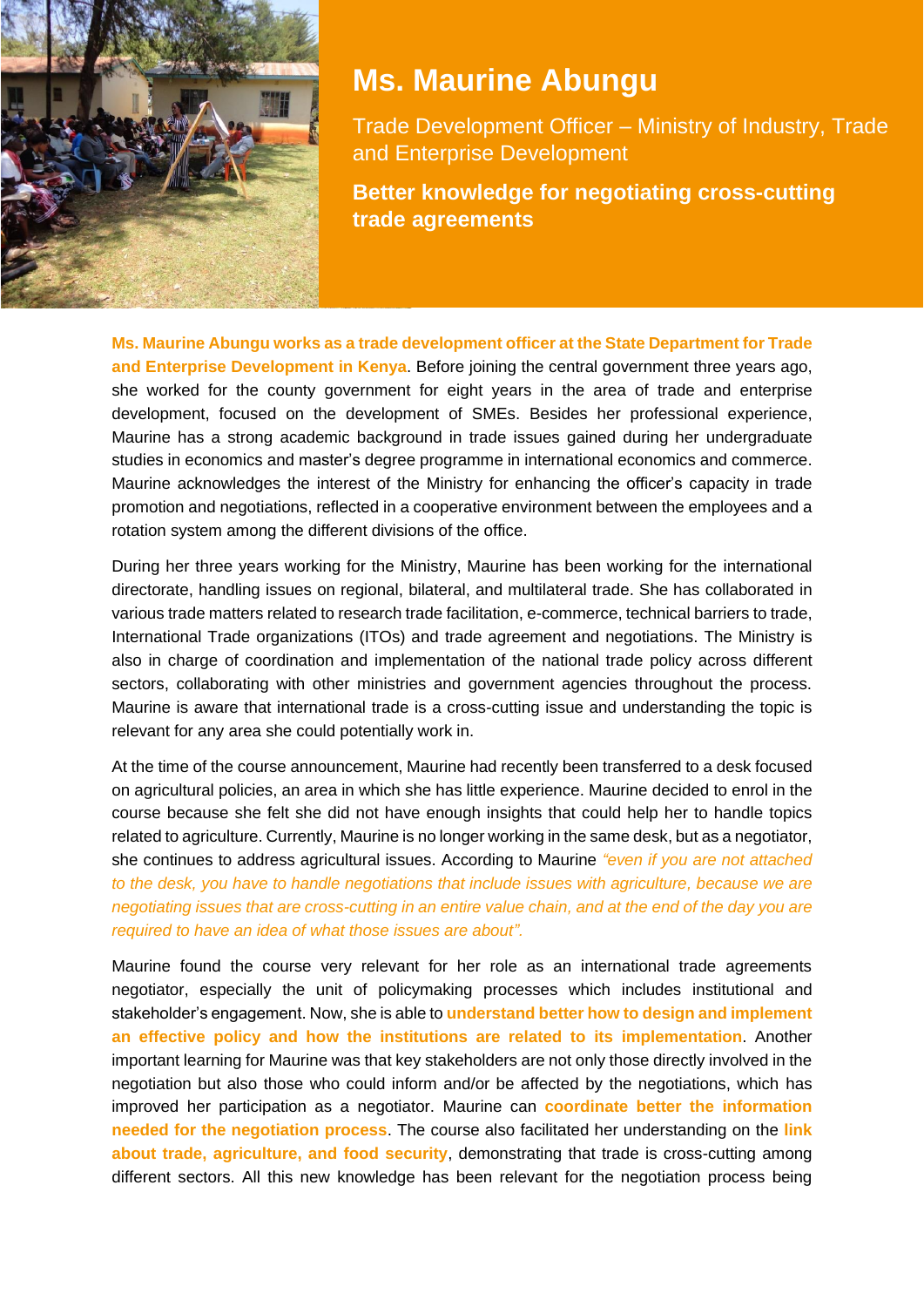

### **Ms. Maurine Abungu**

Trade Development Officer – Ministry of Industry, Trade and Enterprise Development

**Better knowledge for negotiating cross-cutting trade agreements**

**Ms. Maurine Abungu works as a trade development officer at the State Department for Trade and Enterprise Development in Kenya**. Before joining the central government three years ago, she worked for the county government for eight years in the area of trade and enterprise development, focused on the development of SMEs. Besides her professional experience, Maurine has a strong academic background in trade issues gained during her undergraduate studies in economics and master's degree programme in international economics and commerce. Maurine acknowledges the interest of the Ministry for enhancing the officer's capacity in trade promotion and negotiations, reflected in a cooperative environment between the employees and a rotation system among the different divisions of the office.

During her three years working for the Ministry, Maurine has been working for the international directorate, handling issues on regional, bilateral, and multilateral trade. She has collaborated in various trade matters related to research trade facilitation, e-commerce, technical barriers to trade, International Trade organizations (ITOs) and trade agreement and negotiations. The Ministry is also in charge of coordination and implementation of the national trade policy across different sectors, collaborating with other ministries and government agencies throughout the process. Maurine is aware that international trade is a cross-cutting issue and understanding the topic is relevant for any area she could potentially work in.

At the time of the course announcement, Maurine had recently been transferred to a desk focused on agricultural policies, an area in which she has little experience. Maurine decided to enrol in the course because she felt she did not have enough insights that could help her to handle topics related to agriculture. Currently, Maurine is no longer working in the same desk, but as a negotiator, she continues to address agricultural issues. According to Maurine *"even if you are not attached to the desk, you have to handle negotiations that include issues with agriculture, because we are negotiating issues that are cross-cutting in an entire value chain, and at the end of the day you are required to have an idea of what those issues are about".*

Maurine found the course very relevant for her role as an international trade agreements negotiator, especially the unit of policymaking processes which includes institutional and stakeholder's engagement. Now, she is able to **understand better how to design and implement an effective policy and how the institutions are related to its implementation**. Another important learning for Maurine was that key stakeholders are not only those directly involved in the negotiation but also those who could inform and/or be affected by the negotiations, which has improved her participation as a negotiator. Maurine can **coordinate better the information needed for the negotiation process**. The course also facilitated her understanding on the **link about trade, agriculture, and food security**, demonstrating that trade is cross-cutting among different sectors. All this new knowledge has been relevant for the negotiation process being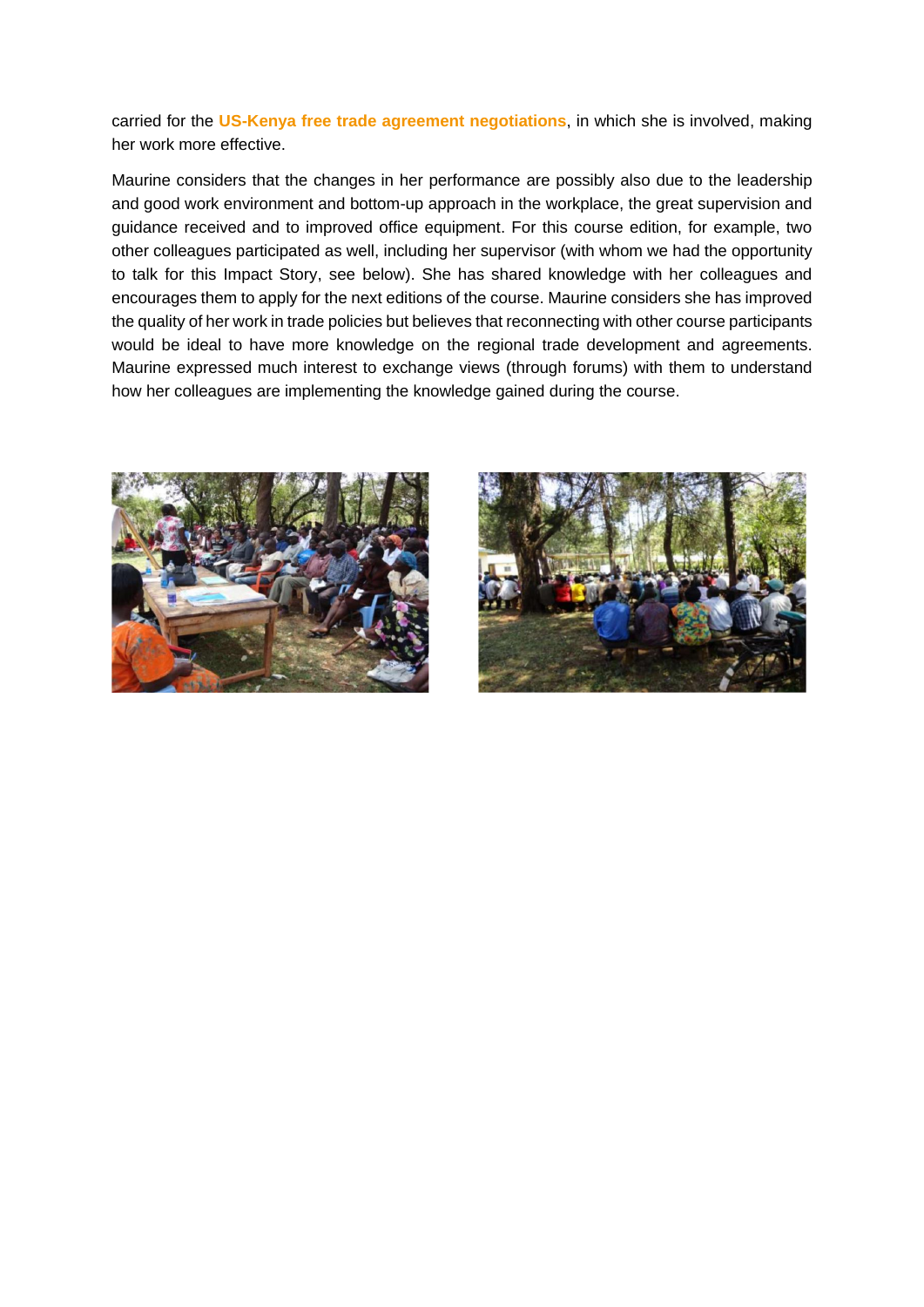carried for the **US-Kenya free trade agreement negotiations**, in which she is involved, making her work more effective.

Maurine considers that the changes in her performance are possibly also due to the leadership and good work environment and bottom-up approach in the workplace, the great supervision and guidance received and to improved office equipment. For this course edition, for example, two other colleagues participated as well, including her supervisor (with whom we had the opportunity to talk for this Impact Story, see below). She has shared knowledge with her colleagues and encourages them to apply for the next editions of the course. Maurine considers she has improved the quality of her work in trade policies but believes that reconnecting with other course participants would be ideal to have more knowledge on the regional trade development and agreements. Maurine expressed much interest to exchange views (through forums) with them to understand how her colleagues are implementing the knowledge gained during the course.



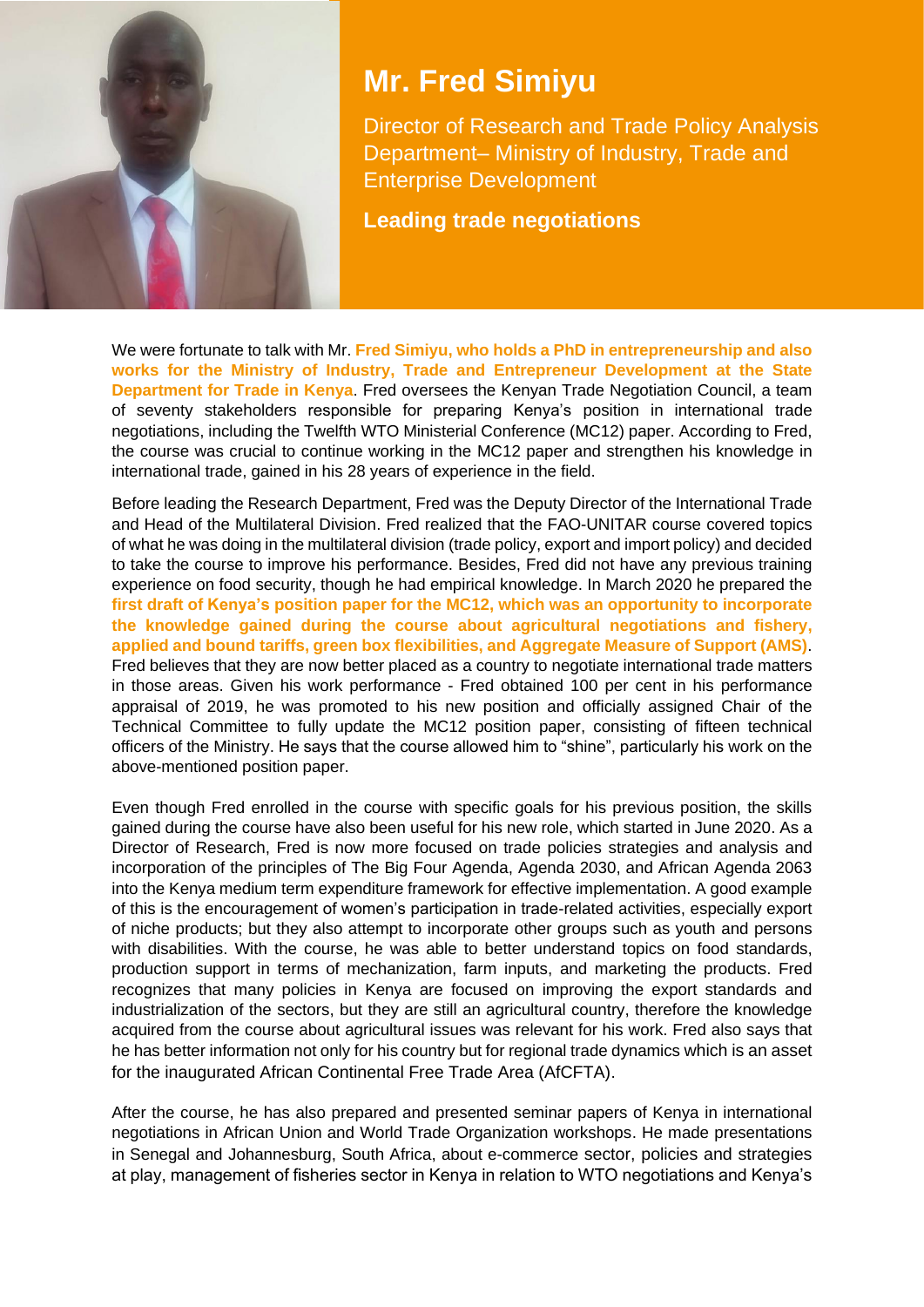

## **Mr. Fred Simiyu**

Director of Research and Trade Policy Analysis Department– Ministry of Industry, Trade and Enterprise Development

**Leading trade negotiations**

We were fortunate to talk with Mr. **Fred Simiyu, who holds a PhD in entrepreneurship and also works for the Ministry of Industry, Trade and Entrepreneur Development at the State Department for Trade in Kenya**. Fred oversees the Kenyan Trade Negotiation Council, a team of seventy stakeholders responsible for preparing Kenya's position in international trade negotiations, including the Twelfth WTO Ministerial Conference (MC12) paper. According to Fred, the course was crucial to continue working in the MC12 paper and strengthen his knowledge in international trade, gained in his 28 years of experience in the field.

Before leading the Research Department, Fred was the Deputy Director of the International Trade and Head of the Multilateral Division. Fred realized that the FAO-UNITAR course covered topics of what he was doing in the multilateral division (trade policy, export and import policy) and decided to take the course to improve his performance. Besides, Fred did not have any previous training experience on food security, though he had empirical knowledge. In March 2020 he prepared the **first draft of Kenya's position paper for the MC12, which was an opportunity to incorporate the knowledge gained during the course about agricultural negotiations and fishery, applied and bound tariffs, green box flexibilities, and Aggregate Measure of Support (AMS)**. Fred believes that they are now better placed as a country to negotiate international trade matters in those areas. Given his work performance - Fred obtained 100 per cent in his performance appraisal of 2019, he was promoted to his new position and officially assigned Chair of the Technical Committee to fully update the MC12 position paper, consisting of fifteen technical officers of the Ministry. He says that the course allowed him to "shine", particularly his work on the above-mentioned position paper.

Even though Fred enrolled in the course with specific goals for his previous position, the skills gained during the course have also been useful for his new role, which started in June 2020. As a Director of Research, Fred is now more focused on trade policies strategies and analysis and incorporation of the principles of The Big Four Agenda, Agenda 2030, and African Agenda 2063 into the Kenya medium term expenditure framework for effective implementation. A good example of this is the encouragement of women's participation in trade-related activities, especially export of niche products; but they also attempt to incorporate other groups such as youth and persons with disabilities. With the course, he was able to better understand topics on food standards, production support in terms of mechanization, farm inputs, and marketing the products. Fred recognizes that many policies in Kenya are focused on improving the export standards and industrialization of the sectors, but they are still an agricultural country, therefore the knowledge acquired from the course about agricultural issues was relevant for his work. Fred also says that he has better information not only for his country but for regional trade dynamics which is an asset for the inaugurated African Continental Free Trade Area (AfCFTA).

After the course, he has also prepared and presented seminar papers of Kenya in international negotiations in African Union and World Trade Organization workshops. He made presentations in Senegal and Johannesburg, South Africa, about e-commerce sector, policies and strategies at play, management of fisheries sector in Kenya in relation to WTO negotiations and Kenya's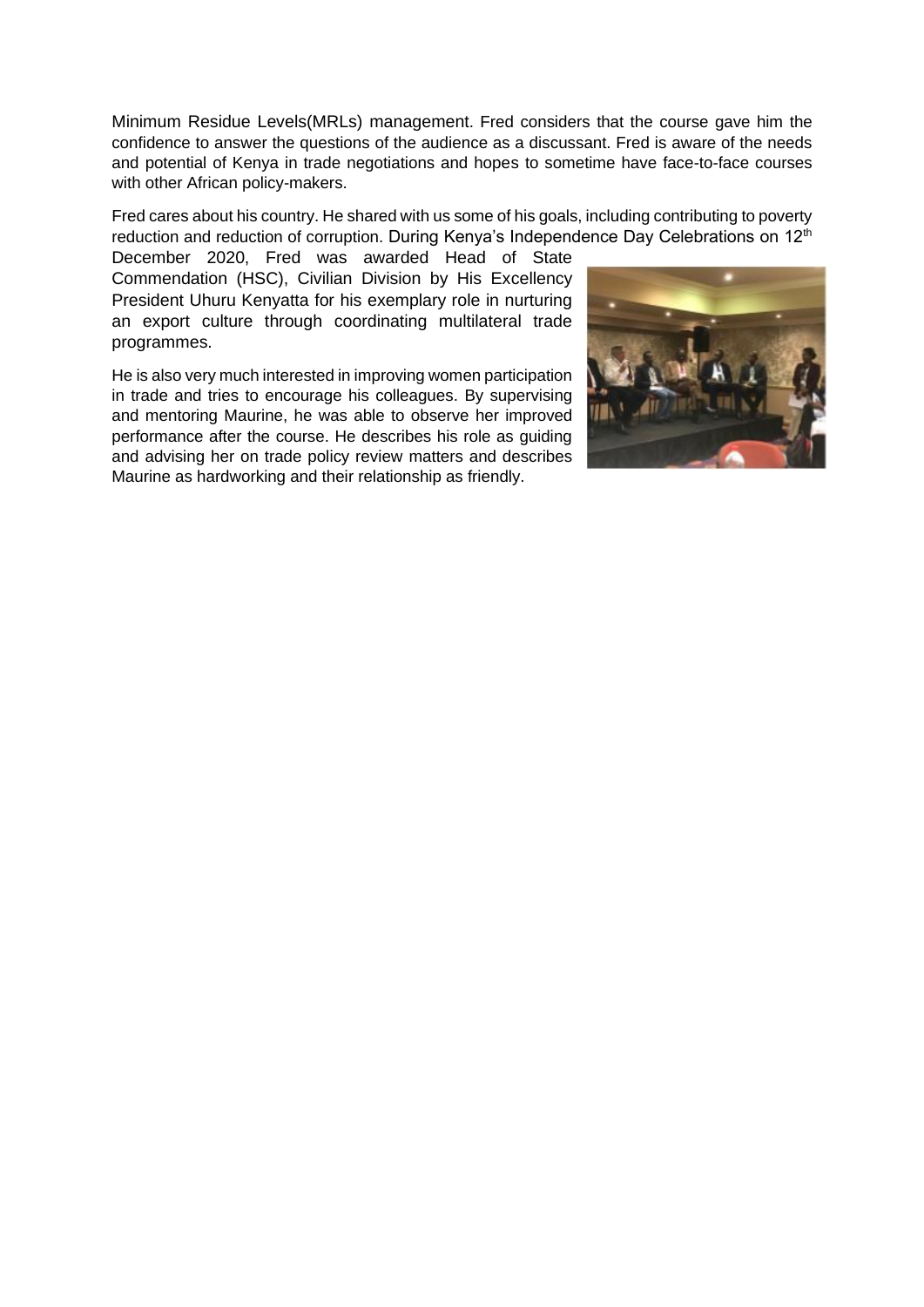Minimum Residue Levels(MRLs) management. Fred considers that the course gave him the confidence to answer the questions of the audience as a discussant. Fred is aware of the needs and potential of Kenya in trade negotiations and hopes to sometime have face-to-face courses with other African policy-makers.

Fred cares about his country. He shared with us some of his goals, including contributing to poverty reduction and reduction of corruption. During Kenya's Independence Day Celebrations on 12<sup>th</sup>

December 2020, Fred was awarded Head of State Commendation (HSC), Civilian Division by His Excellency President Uhuru Kenyatta for his exemplary role in nurturing an export culture through coordinating multilateral trade programmes.

He is also very much interested in improving women participation in trade and tries to encourage his colleagues. By supervising and mentoring Maurine, he was able to observe her improved performance after the course. He describes his role as guiding and advising her on trade policy review matters and describes Maurine as hardworking and their relationship as friendly.

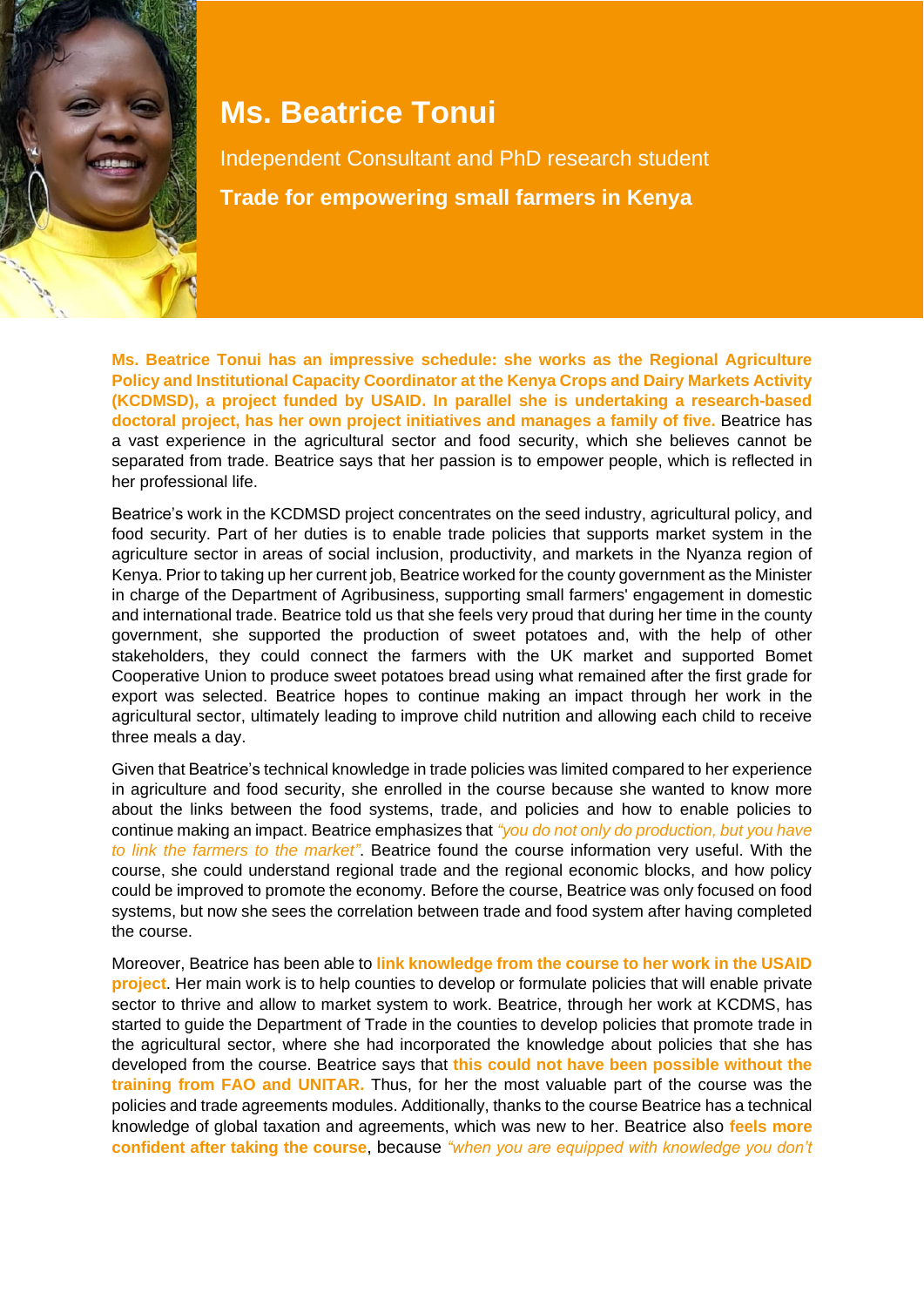

## **Ms. Beatrice Tonui**

Independent Consultant and PhD research student **Trade for empowering small farmers in Kenya**

**Ms. Beatrice Tonui has an impressive schedule: she works as the Regional Agriculture Policy and Institutional Capacity Coordinator at the Kenya Crops and Dairy Markets Activity (KCDMSD), a project funded by USAID. In parallel she is undertaking a research-based doctoral project, has her own project initiatives and manages a family of five.** Beatrice has a vast experience in the agricultural sector and food security, which she believes cannot be separated from trade. Beatrice says that her passion is to empower people, which is reflected in her professional life.

Beatrice's work in the KCDMSD project concentrates on the seed industry, agricultural policy, and food security. Part of her duties is to enable trade policies that supports market system in the agriculture sector in areas of social inclusion, productivity, and markets in the Nyanza region of Kenya. Prior to taking up her current job, Beatrice worked for the county government as the Minister in charge of the Department of Agribusiness, supporting small farmers' engagement in domestic and international trade. Beatrice told us that she feels very proud that during her time in the county government, she supported the production of sweet potatoes and, with the help of other stakeholders, they could connect the farmers with the UK market and supported Bomet Cooperative Union to produce sweet potatoes bread using what remained after the first grade for export was selected. Beatrice hopes to continue making an impact through her work in the agricultural sector, ultimately leading to improve child nutrition and allowing each child to receive three meals a day.

Given that Beatrice's technical knowledge in trade policies was limited compared to her experience in agriculture and food security, she enrolled in the course because she wanted to know more about the links between the food systems, trade, and policies and how to enable policies to continue making an impact. Beatrice emphasizes that *"you do not only do production, but you have to link the farmers to the market"*. Beatrice found the course information very useful. With the course, she could understand regional trade and the regional economic blocks, and how policy could be improved to promote the economy. Before the course, Beatrice was only focused on food systems, but now she sees the correlation between trade and food system after having completed the course.

Moreover, Beatrice has been able to **link knowledge from the course to her work in the USAID project**. Her main work is to help counties to develop or formulate policies that will enable private sector to thrive and allow to market system to work. Beatrice, through her work at KCDMS, has started to guide the Department of Trade in the counties to develop policies that promote trade in the agricultural sector, where she had incorporated the knowledge about policies that she has developed from the course. Beatrice says that **this could not have been possible without the training from FAO and UNITAR.** Thus, for her the most valuable part of the course was the policies and trade agreements modules. Additionally, thanks to the course Beatrice has a technical knowledge of global taxation and agreements, which was new to her. Beatrice also **feels more confident after taking the course**, because *"when you are equipped with knowledge you don't*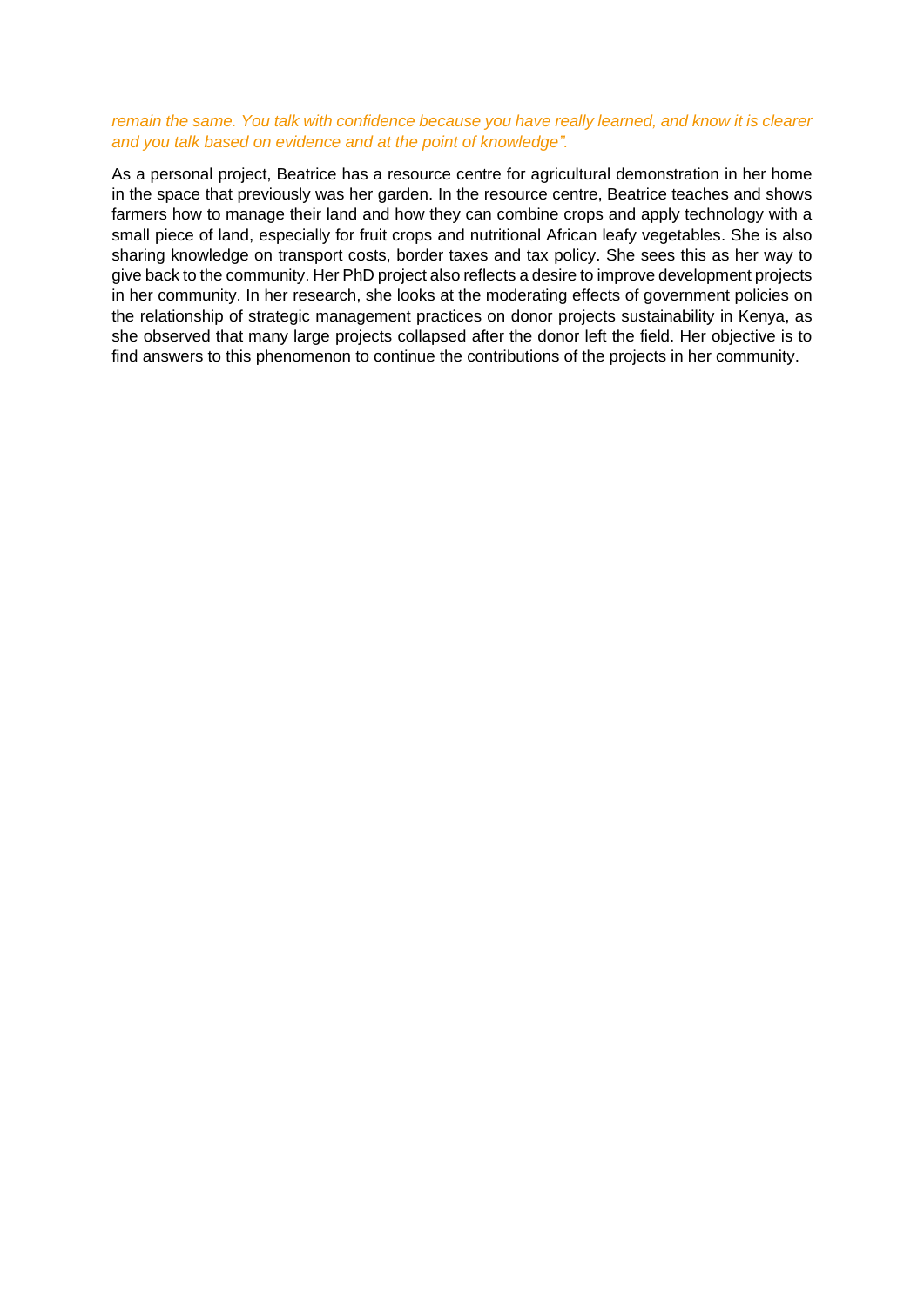#### *remain the same. You talk with confidence because you have really learned, and know it is clearer and you talk based on evidence and at the point of knowledge".*

As a personal project, Beatrice has a resource centre for agricultural demonstration in her home in the space that previously was her garden. In the resource centre, Beatrice teaches and shows farmers how to manage their land and how they can combine crops and apply technology with a small piece of land, especially for fruit crops and nutritional African leafy vegetables. She is also sharing knowledge on transport costs, border taxes and tax policy. She sees this as her way to give back to the community. Her PhD project also reflects a desire to improve development projects in her community. In her research, she looks at the moderating effects of government policies on the relationship of strategic management practices on donor projects sustainability in Kenya, as she observed that many large projects collapsed after the donor left the field. Her objective is to find answers to this phenomenon to continue the contributions of the projects in her community.